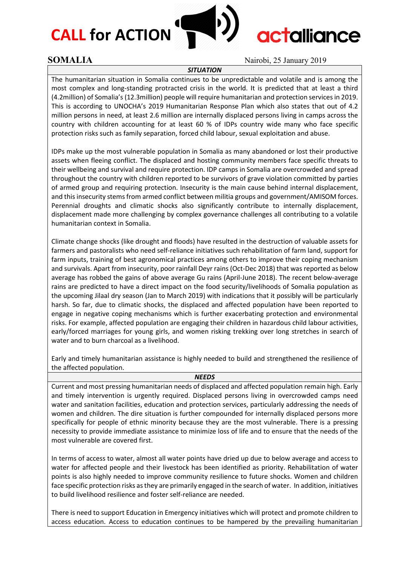# **CALL for ACTION**



# **actalliance**

### **SOMALIA** Nairobi, 25 January 2019

#### *SITUATION*

The humanitarian situation in Somalia continues to be unpredictable and volatile and is among the most complex and long-standing protracted crisis in the world. It is predicted that at least a third (4.2million) of Somalia's (12.3million) people will require humanitarian and protection services in 2019. This is according to UNOCHA's 2019 Humanitarian Response Plan which also states that out of 4.2 million persons in need, at least 2.6 million are internally displaced persons living in camps across the country with children accounting for at least 60 % of IDPs country wide many who face specific protection risks such as family separation, forced child labour, sexual exploitation and abuse.

IDPs make up the most vulnerable population in Somalia as many abandoned or lost their productive assets when fleeing conflict. The displaced and hosting community members face specific threats to their wellbeing and survival and require protection. IDP camps in Somalia are overcrowded and spread throughout the country with children reported to be survivors of grave violation committed by parties of armed group and requiring protection. Insecurity is the main cause behind internal displacement, and this insecurity stems from armed conflict between militia groups and government/AMISOM forces. Perennial droughts and climatic shocks also significantly contribute to internally displacement, displacement made more challenging by complex governance challenges all contributing to a volatile humanitarian context in Somalia.

Climate change shocks (like drought and floods) have resulted in the destruction of valuable assets for farmers and pastoralists who need self-reliance initiatives such rehabilitation of farm land, support for farm inputs, training of best agronomical practices among others to improve their coping mechanism and survivals. Apart from insecurity, poor rainfall Deyr rains (Oct-Dec 2018) that was reported as below average has robbed the gains of above average Gu rains (April-June 2018). The recent below-average rains are predicted to have a direct impact on the food security/livelihoods of Somalia population as the upcoming Jilaal dry season (Jan to March 2019) with indications that it possibly will be particularly harsh. So far, due to climatic shocks, the displaced and affected population have been reported to engage in negative coping mechanisms which is further exacerbating protection and environmental risks. For example, affected population are engaging their children in hazardous child labour activities, early/forced marriages for young girls, and women risking trekking over long stretches in search of water and to burn charcoal as a livelihood.

Early and timely humanitarian assistance is highly needed to build and strengthened the resilience of the affected population.

#### *NEEDS*

Current and most pressing humanitarian needs of displaced and affected population remain high. Early and timely intervention is urgently required. Displaced persons living in overcrowded camps need water and sanitation facilities, education and protection services, particularly addressing the needs of women and children. The dire situation is further compounded for internally displaced persons more specifically for people of ethnic minority because they are the most vulnerable. There is a pressing necessity to provide immediate assistance to minimize loss of life and to ensure that the needs of the most vulnerable are covered first.

In terms of access to water, almost all water points have dried up due to below average and access to water for affected people and their livestock has been identified as priority. Rehabilitation of water points is also highly needed to improve community resilience to future shocks. Women and children face specific protection risks as they are primarily engaged in the search of water. In addition, initiatives to build livelihood resilience and foster self-reliance are needed.

There is need to support Education in Emergency initiatives which will protect and promote children to access education. Access to education continues to be hampered by the prevailing humanitarian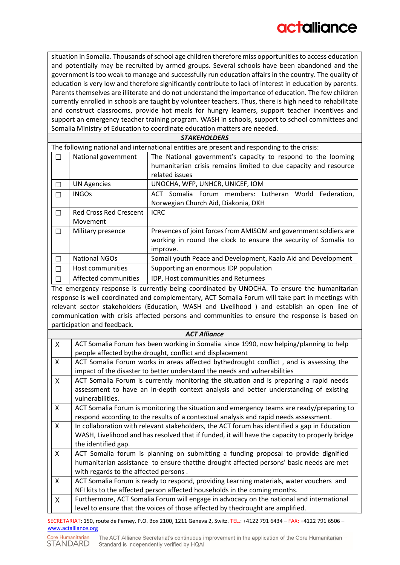situation in Somalia. Thousands of school age children therefore miss opportunities to access education and potentially may be recruited by armed groups. Several schools have been abandoned and the government is too weak to manage and successfully run education affairs in the country. The quality of education is very low and therefore significantly contribute to lack of interest in education by parents. Parents themselves are illiterate and do not understand the importance of education. The few children currently enrolled in schools are taught by volunteer teachers. Thus, there is high need to rehabilitate and construct classrooms, provide hot meals for hungry learners, support teacher incentives and support an emergency teacher training program. WASH in schools, support to school committees and Somalia Ministry of Education to coordinate education matters are needed.

| <b>STAKEHOLDERS</b>                                                                         |                               |                                                                   |
|---------------------------------------------------------------------------------------------|-------------------------------|-------------------------------------------------------------------|
| The following national and international entities are present and responding to the crisis: |                               |                                                                   |
| П                                                                                           | National government           | The National government's capacity to respond to the looming      |
|                                                                                             |                               | humanitarian crisis remains limited to due capacity and resource  |
|                                                                                             |                               | related issues                                                    |
| П                                                                                           | <b>UN Agencies</b>            | UNOCHA, WFP, UNHCR, UNICEF, IOM                                   |
| П                                                                                           | <b>INGOs</b>                  | ACT Somalia Forum members: Lutheran World Federation,             |
|                                                                                             |                               | Norwegian Church Aid, Diakonia, DKH                               |
| П                                                                                           | <b>Red Cross Red Crescent</b> | <b>ICRC</b>                                                       |
|                                                                                             | Movement                      |                                                                   |
| П                                                                                           | Military presence             | Presences of joint forces from AMISOM and government soldiers are |
|                                                                                             |                               | working in round the clock to ensure the security of Somalia to   |
|                                                                                             |                               | improve.                                                          |
| П                                                                                           | <b>National NGOs</b>          | Somali youth Peace and Development, Kaalo Aid and Development     |
|                                                                                             | Host communities              | Supporting an enormous IDP population                             |
|                                                                                             | Affected communities          | IDP, Host communities and Returnees                               |

The emergency response is currently being coordinated by UNOCHA. To ensure the humanitarian response is well coordinated and complementary, ACT Somalia Forum will take part in meetings with relevant sector stakeholders (Education, WASH and Livelihood ) and establish an open line of communication with crisis affected persons and communities to ensure the response is based on participation and feedback.

| <b>ACT Alliance</b> |                                                                                                                                                    |  |
|---------------------|----------------------------------------------------------------------------------------------------------------------------------------------------|--|
| X                   | ACT Somalia Forum has been working in Somalia since 1990, now helping/planning to help<br>people affected bythe drought, conflict and displacement |  |
| $\mathsf{x}$        | ACT Somalia Forum works in areas affected bythedrought conflict, and is assessing the                                                              |  |
|                     | impact of the disaster to better understand the needs and vulnerabilities                                                                          |  |
| X                   | ACT Somalia Forum is currently monitoring the situation and is preparing a rapid needs                                                             |  |
|                     | assessment to have an in-depth context analysis and better understanding of existing                                                               |  |
|                     | vulnerabilities.                                                                                                                                   |  |
| $\mathsf{x}$        | ACT Somalia Forum is monitoring the situation and emergency teams are ready/preparing to                                                           |  |
|                     | respond according to the results of a contextual analysis and rapid needs assessment.                                                              |  |
| X                   | In collaboration with relevant stakeholders, the ACT forum has identified a gap in Education                                                       |  |
|                     | WASH, Livelihood and has resolved that if funded, it will have the capacity to properly bridge                                                     |  |
|                     | the identified gap.                                                                                                                                |  |
| X                   | ACT Somalia forum is planning on submitting a funding proposal to provide dignified                                                                |  |
|                     | humanitarian assistance to ensure thatthe drought affected persons' basic needs are met                                                            |  |
|                     | with regards to the affected persons.                                                                                                              |  |
| $\mathsf{X}$        | ACT Somalia Forum is ready to respond, providing Learning materials, water vouchers and                                                            |  |
|                     | NFI kits to the affected person affected households in the coming months.                                                                          |  |
| X                   | Furthermore, ACT Somalia Forum will engage in advocacy on the national and international                                                           |  |
|                     | level to ensure that the voices of those affected by thedrought are amplified.                                                                     |  |

SECRETARIAT: 150, route de Ferney, P.O. Box 2100, 1211 Geneva 2, Switz. TEL.: +4122 791 6434 – FAX: +4122 791 6506 – [www.actalliance.org](http://www.actalliance.org/)